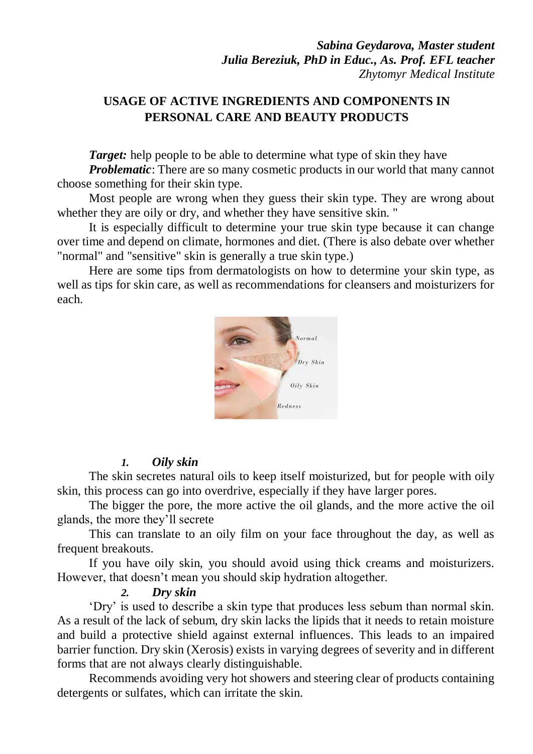# **USAGE OF ACTIVE INGREDIENTS AND COMPONENTS IN PERSONAL CARE AND BEAUTY PRODUCTS**

*Target:* help people to be able to determine what type of skin they have

*Problematic*: There are so many cosmetic products in our world that many cannot choose something for their skin type.

Most people are wrong when they guess their skin type. They are wrong about whether they are oily or dry, and whether they have sensitive skin. "

It is especially difficult to determine your true skin type because it can change over time and depend on climate, hormones and diet. (There is also debate over whether "normal" and "sensitive" skin is generally a true skin type.)

Here are some tips from dermatologists on how to determine your skin type, as well as tips for skin care, as well as recommendations for cleansers and moisturizers for each.



### *1. Oily skin*

The skin secretes natural oils to keep itself moisturized, but for people with oily skin, this process can go into overdrive, especially if they have larger pores.

The bigger the pore, the more active the oil glands, and the more active the oil glands, the more they'll secrete

This can translate to an oily film on your face throughout the day, as well as frequent breakouts.

If you have oily skin, you should avoid using thick creams and moisturizers. However, that doesn't mean you should skip hydration altogether.

#### *2. Dry skin*

'Dry' is used to describe a skin type that produces less sebum than normal skin. As a result of the lack of sebum, dry skin lacks the lipids that it needs to retain moisture and build a protective shield against external influences. This leads to an impaired barrier function. Dry skin (Xerosis) exists in varying degrees of severity and in different forms that are not always clearly distinguishable.

Recommends avoiding very hot showers and steering clear of products containing detergents or sulfates, which can irritate the skin.